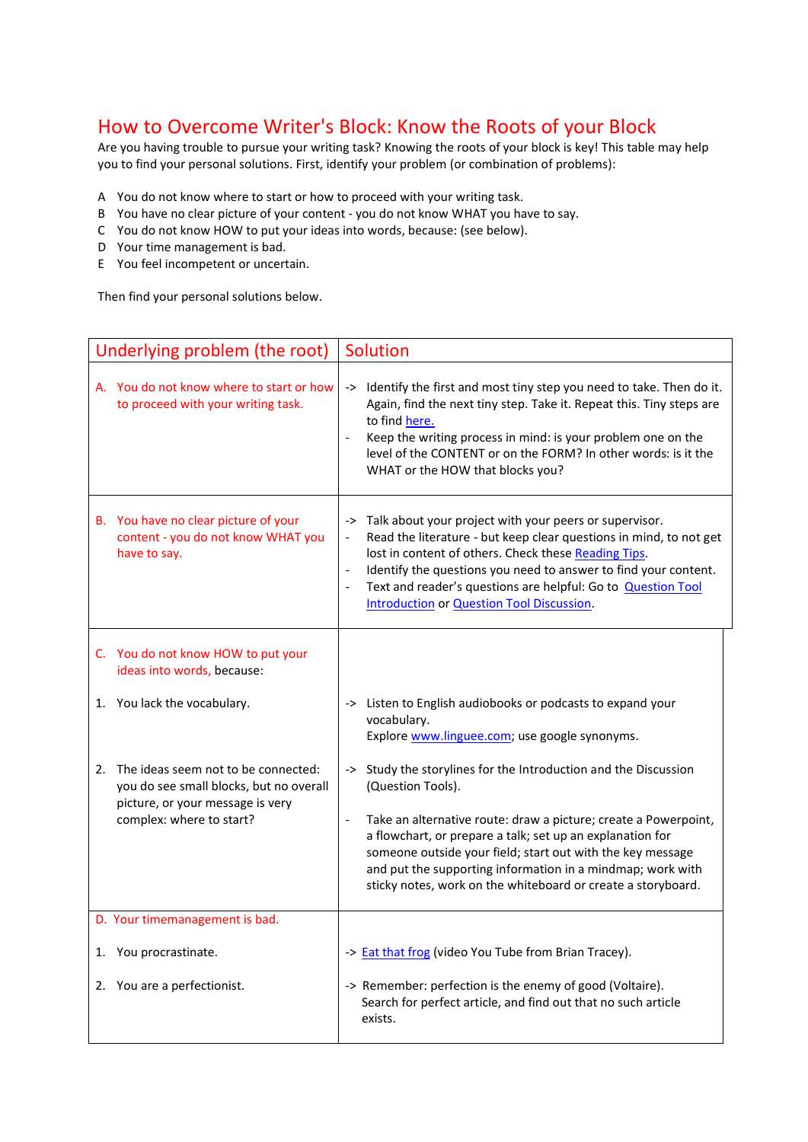## How to Overcome Writer's Block: Know the Roots of your Block

Are you having trouble to pursue your writing task? Knowing the roots of your block is key! This table may help you to find your personal solutions. First, identify your problem (or combination of problems):

- A You do not know where to start or how to proceed with your writing task.
- B You have no clear picture of your content you do not know WHAT you have to say.
- C You do not know HOW to put your ideas into words, because: (see below).
- D Your time management is bad.
- E You feel incompetent or uncertain.

Then find your personal solutions below.

| Underlying problem (the root)                                                                                                                     | Solution                                                                                                                                                                                                                                                                                                                                                                                                                           |
|---------------------------------------------------------------------------------------------------------------------------------------------------|------------------------------------------------------------------------------------------------------------------------------------------------------------------------------------------------------------------------------------------------------------------------------------------------------------------------------------------------------------------------------------------------------------------------------------|
| A. You do not know where to start or how<br>to proceed with your writing task.                                                                    | -> Identify the first and most tiny step you need to take. Then do it.<br>Again, find the next tiny step. Take it. Repeat this. Tiny steps are<br>to find here.<br>Keep the writing process in mind: is your problem one on the<br>$\blacksquare$<br>level of the CONTENT or on the FORM? In other words: is it the<br>WHAT or the HOW that blocks you?                                                                            |
| B. You have no clear picture of your<br>content - you do not know WHAT you<br>have to say.                                                        | -> Talk about your project with your peers or supervisor.<br>Read the literature - but keep clear questions in mind, to not get<br>lost in content of others. Check these Reading Tips.<br>Identify the questions you need to answer to find your content.<br>$\Box$<br>Text and reader's questions are helpful: Go to <b>Question Tool</b><br>$\overline{\phantom{a}}$<br><b>Introduction or Question Tool Discussion.</b>        |
| C. You do not know HOW to put your<br>ideas into words, because:                                                                                  |                                                                                                                                                                                                                                                                                                                                                                                                                                    |
| 1. You lack the vocabulary.                                                                                                                       | -> Listen to English audiobooks or podcasts to expand your<br>vocabulary.<br>Explore www.linguee.com; use google synonyms.                                                                                                                                                                                                                                                                                                         |
| 2. The ideas seem not to be connected:<br>you do see small blocks, but no overall<br>picture, or your message is very<br>complex: where to start? | -> Study the storylines for the Introduction and the Discussion<br>(Question Tools).<br>Take an alternative route: draw a picture; create a Powerpoint,<br>$\blacksquare$<br>a flowchart, or prepare a talk; set up an explanation for<br>someone outside your field; start out with the key message<br>and put the supporting information in a mindmap; work with<br>sticky notes, work on the whiteboard or create a storyboard. |
| D. Your timemanagement is bad.                                                                                                                    |                                                                                                                                                                                                                                                                                                                                                                                                                                    |
| 1. You procrastinate.                                                                                                                             | -> <b>Eat that frog</b> (video You Tube from Brian Tracey).                                                                                                                                                                                                                                                                                                                                                                        |
| 2. You are a perfectionist.                                                                                                                       | -> Remember: perfection is the enemy of good (Voltaire).<br>Search for perfect article, and find out that no such article<br>exists.                                                                                                                                                                                                                                                                                               |